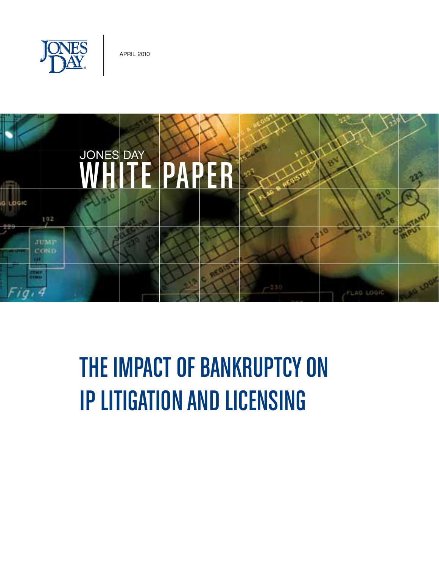

April 2010



# The Impact of Bankruptcy on IP Litigation and Licensing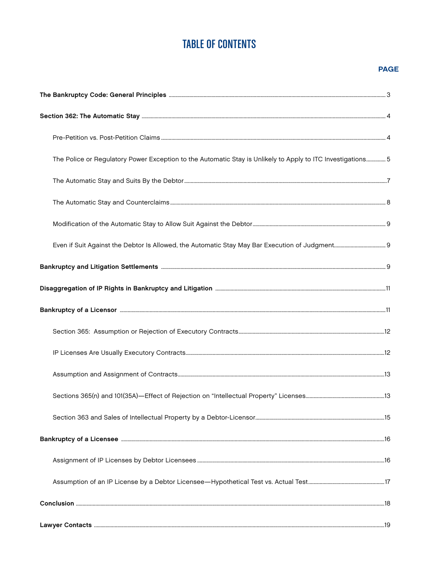## **TABLE OF CONTENTS**

#### **PAGE**

| The Police or Regulatory Power Exception to the Automatic Stay is Unlikely to Apply to ITC Investigations5 |  |
|------------------------------------------------------------------------------------------------------------|--|
|                                                                                                            |  |
|                                                                                                            |  |
|                                                                                                            |  |
|                                                                                                            |  |
|                                                                                                            |  |
|                                                                                                            |  |
|                                                                                                            |  |
|                                                                                                            |  |
|                                                                                                            |  |
|                                                                                                            |  |
|                                                                                                            |  |
|                                                                                                            |  |
|                                                                                                            |  |
|                                                                                                            |  |
|                                                                                                            |  |
|                                                                                                            |  |
|                                                                                                            |  |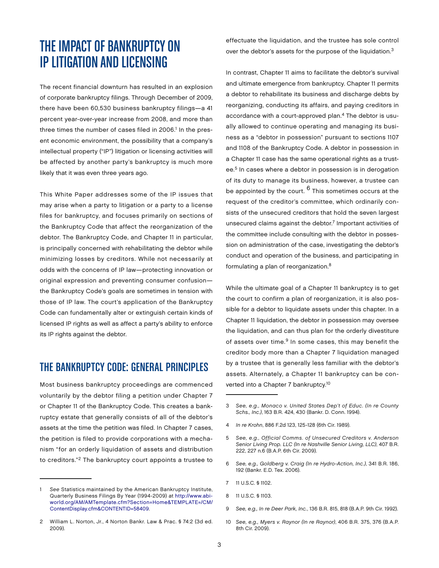# The Impact of Bankruptcy on IP Litigation and Licensing

The recent financial downturn has resulted in an explosion of corporate bankruptcy filings. Through December of 2009, there have been 60,530 business bankruptcy filings—a 41 percent year-over-year increase from 2008, and more than three times the number of cases filed in 2006.<sup>1</sup> In the present economic environment, the possibility that a company's intellectual property ("IP") litigation or licensing activities will be affected by another party's bankruptcy is much more likely that it was even three years ago.

This White Paper addresses some of the IP issues that may arise when a party to litigation or a party to a license files for bankruptcy, and focuses primarily on sections of the Bankruptcy Code that affect the reorganization of the debtor. The Bankruptcy Code, and Chapter 11 in particular, is principally concerned with rehabilitating the debtor while minimizing losses by creditors. While not necessarily at odds with the concerns of IP law—protecting innovation or original expression and preventing consumer confusion the Bankruptcy Code's goals are sometimes in tension with those of IP law. The court's application of the Bankruptcy Code can fundamentally alter or extinguish certain kinds of licensed IP rights as well as affect a party's ability to enforce its IP rights against the debtor.

### THE BANKRUPTCY CODE: GENERAL PRINCIPLES

Most business bankruptcy proceedings are commenced voluntarily by the debtor filing a petition under Chapter 7 or Chapter 11 of the Bankruptcy Code. This creates a bankruptcy estate that generally consists of all of the debtor's assets at the time the petition was filed. In Chapter 7 cases, the petition is filed to provide corporations with a mechanism "for an orderly liquidation of assets and distribution to creditors."2 The bankruptcy court appoints a trustee to

1 See Statistics maintained by the American Bankruptcy Institute, Quarterly Business Filings By Year (1994-2009) at [http://www.ab](http://www.abiworld.org/AM/AMTemplate.cfm?Section=Home&TEMPLATE=/CM/ContentDisplay.cfm&CONTENTID=58409)i[world.org/AM/AMTemplate.cfm?Section=Home&TEMPL](http://www.abiworld.org/AM/AMTemplate.cfm?Section=Home&TEMPLATE=/CM/ContentDisplay.cfm&CONTENTID=58409)ATE=/CM/ ContentDisplay.cfm&CONTENTID=58409.

effectuate the liquidation, and the trustee has sole control over the debtor's assets for the purpose of the liquidation.3

In contrast, Chapter 11 aims to facilitate the debtor's survival and ultimate emergence from bankruptcy. Chapter 11 permits a debtor to rehabilitate its business and discharge debts by reorganizing, conducting its affairs, and paying creditors in accordance with a court-approved plan.4 The debtor is usually allowed to continue operating and managing its business as a "debtor in possession" pursuant to sections 1107 and 1108 of the Bankruptcy Code. A debtor in possession in a Chapter 11 case has the same operational rights as a trustee.5 In cases where a debtor in possession is in derogation of its duty to manage its business, however, a trustee can be appointed by the court. <sup>6</sup> This sometimes occurs at the request of the creditor's committee, which ordinarily consists of the unsecured creditors that hold the seven largest unsecured claims against the debtor.<sup>7</sup> Important activities of the committee include consulting with the debtor in possession on administration of the case, investigating the debtor's conduct and operation of the business, and participating in formulating a plan of reorganization.8

While the ultimate goal of a Chapter 11 bankruptcy is to get the court to confirm a plan of reorganization, it is also possible for a debtor to liquidate assets under this chapter. In a Chapter 11 liquidation, the debtor in possession may oversee the liquidation, and can thus plan for the orderly divestiture of assets over time.<sup>9</sup> In some cases, this may benefit the creditor body more than a Chapter 7 liquidation managed by a trustee that is generally less familiar with the debtor's assets. Alternately, a Chapter 11 bankruptcy can be converted into a Chapter 7 bankruptcy.10

- 6 See, e.g., Goldberg v. Craig (In re Hydro-Action, Inc.), 341 B.R. 186, 192 (Bankr. E.D. Tex. 2006).
- 7 11 U.S.C. § 1102.
- 8 11 U.S.C. § 1103.
- 9 See, e.g., In re Deer Park, Inc., 136 B.R. 815, 818 (B.A.P. 9th Cir. 1992).
- 10 See, e.g., Myers v. Raynor (In re Raynor), 406 B.R. 375, 376 (B.A.P. 8th Cir. 2009).

<sup>2</sup> William L. Norton, Jr., 4 Norton Bankr. Law & Prac. § 74:2 (3d ed. 2009).

<sup>3</sup> See, e.g., Monaco v. United States Dep't of Educ. (In re County Schs., Inc.), 163 B.R. 424, 430 (Bankr. D. Conn. 1994).

<sup>4</sup> In re Krohn, 886 F.2d 123, 125-128 (6th Cir. 1989).

<sup>5</sup> See, e.g., Official Comms. of Unsecured Creditors v. Anderson Senior Living Prop. LLC (In re Nashville Senior Living, LLC), 407 B.R. 222, 227 n.6 (B.A.P. 6th Cir. 2009).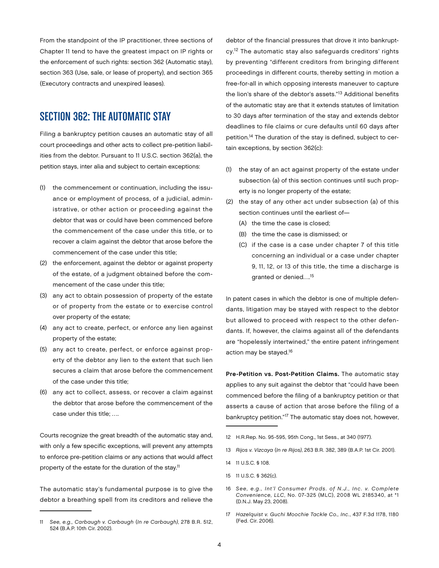From the standpoint of the IP practitioner, three sections of Chapter 11 tend to have the greatest impact on IP rights or the enforcement of such rights: section 362 (Automatic stay), section 363 (Use, sale, or lease of property), and section 365 (Executory contracts and unexpired leases).

## Section 362: The Automatic Stay

Filing a bankruptcy petition causes an automatic stay of all court proceedings and other acts to collect pre-petition liabilities from the debtor. Pursuant to 11 U.S.C. section 362(a), the petition stays, inter alia and subject to certain exceptions:

- (1) the commencement or continuation, including the issuance or employment of process, of a judicial, administrative, or other action or proceeding against the debtor that was or could have been commenced before the commencement of the case under this title, or to recover a claim against the debtor that arose before the commencement of the case under this title;
- (2) the enforcement, against the debtor or against property of the estate, of a judgment obtained before the commencement of the case under this title;
- (3) any act to obtain possession of property of the estate or of property from the estate or to exercise control over property of the estate;
- (4) any act to create, perfect, or enforce any lien against property of the estate;
- (5) any act to create, perfect, or enforce against property of the debtor any lien to the extent that such lien secures a claim that arose before the commencement of the case under this title;
- (6) any act to collect, assess, or recover a claim against the debtor that arose before the commencement of the case under this title; ….

Courts recognize the great breadth of the automatic stay and, with only a few specific exceptions, will prevent any attempts to enforce pre-petition claims or any actions that would affect property of the estate for the duration of the stay.<sup>11</sup>

The automatic stay's fundamental purpose is to give the debtor a breathing spell from its creditors and relieve the debtor of the financial pressures that drove it into bankruptcy.<sup>12</sup> The automatic stay also safeguards creditors' rights by preventing "different creditors from bringing different proceedings in different courts, thereby setting in motion a free-for-all in which opposing interests maneuver to capture the lion's share of the debtor's assets."13 Additional benefits of the automatic stay are that it extends statutes of limitation to 30 days after termination of the stay and extends debtor deadlines to file claims or cure defaults until 60 days after petition.<sup>14</sup> The duration of the stay is defined, subject to certain exceptions, by section 362(c):

- (1) the stay of an act against property of the estate under subsection (a) of this section continues until such property is no longer property of the estate;
- (2) the stay of any other act under subsection (a) of this section continues until the earliest of—
	- (A) the time the case is closed;
	- (B) the time the case is dismissed; or
	- (C) if the case is a case under chapter 7 of this title concerning an individual or a case under chapter 9, 11, 12, or 13 of this title, the time a discharge is granted or denied….15

In patent cases in which the debtor is one of multiple defendants, litigation may be stayed with respect to the debtor but allowed to proceed with respect to the other defendants. If, however, the claims against all of the defendants are "hopelessly intertwined," the entire patent infringement action may be stayed.16

Pre-Petition vs. Post-Petition Claims. The automatic stay applies to any suit against the debtor that "could have been commenced before the filing of a bankruptcy petition or that asserts a cause of action that arose before the filing of a bankruptcy petition."17 The automatic stay does not, however,

- 12 H.R.Rep. No. 95-595, 95th Cong., 1st Sess., at 340 (1977).
- 13 Rijos v. Vizcaya (In re Rijos), 263 B.R. 382, 389 (B.A.P. 1st Cir. 2001).
- 14 11 U.S.C. § 108.
- 15 11 U.S.C. § 362(c).
- 16 See, e.g., Int'l Consumer Prods. of N.J., Inc. v. Complete Convenience, LLC, No. 07-325 (MLC), 2008 WL 2185340, at \*1 (D.N.J. May 23, 2008).
- 17 Hazelquist v. Guchi Moochie Tackle Co., Inc., 437 F.3d 1178, 1180 (Fed. Cir. 2006).

<sup>11</sup> See, e.g., Carbaugh v. Carbaugh (In re Carbaugh), 278 B.R. 512, 524 (B.A.P. 10th Cir. 2002).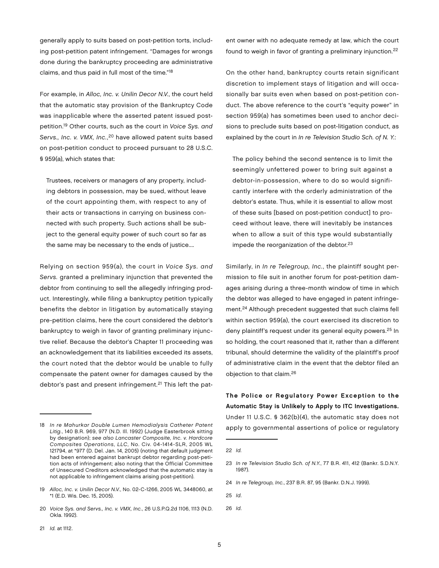generally apply to suits based on post-petition torts, including post-petition patent infringement. "Damages for wrongs done during the bankruptcy proceeding are administrative claims, and thus paid in full most of the time."18

For example, in Alloc, Inc. v. Unilin Decor N.V., the court held that the automatic stay provision of the Bankruptcy Code was inapplicable where the asserted patent issued postpetition.19 Other courts, such as the court in Voice Sys. and Servs., Inc. v. VMX, Inc.,<sup>20</sup> have allowed patent suits based on post-petition conduct to proceed pursuant to 28 U.S.C. § 959(a), which states that:

Trustees, receivers or managers of any property, including debtors in possession, may be sued, without leave of the court appointing them, with respect to any of their acts or transactions in carrying on business connected with such property. Such actions shall be subject to the general equity power of such court so far as the same may be necessary to the ends of justice....

Relying on section 959(a), the court in Voice Sys. and Servs. granted a preliminary injunction that prevented the debtor from continuing to sell the allegedly infringing product. Interestingly, while filing a bankruptcy petition typically benefits the debtor in litigation by automatically staying pre-petition claims, here the court considered the debtor's bankruptcy to weigh in favor of granting preliminary injunctive relief. Because the debtor's Chapter 11 proceeding was an acknowledgement that its liabilities exceeded its assets, the court noted that the debtor would be unable to fully compensate the patent owner for damages caused by the debtor's past and present infringement.<sup>21</sup> This left the pat-

18 In re Mahurkar Double Lumen Hemodialysis Catheter Patent Litig., 140 B.R. 969, 977 (N.D. Ill. 1992) (Judge Easterbrook sitting by designation); see also Lancaster Composite, Inc. v. Hardcore Composites Operations, LLC, No. Civ. 04-1414-SLR, 2005 WL 121794, at \*977 (D. Del. Jan. 14, 2005) (noting that default judgment had been entered against bankrupt debtor regarding post-petition acts of infringement; also noting that the Official Committee of Unsecured Creditors acknowledged that the automatic stay is not applicable to infringement claims arising post-petition).

19 Alloc, Inc. v. Unilin Decor N.V., No. 02-C-1266, 2005 WL 3448060, at \*1 (E.D. Wis. Dec. 15, 2005).

20 Voice Sys. and Servs., Inc. v. VMX, Inc., 26 U.S.P.Q.2d 1106, 1113 (N.D. Okla. 1992).

ent owner with no adequate remedy at law, which the court found to weigh in favor of granting a preliminary injunction.22

On the other hand, bankruptcy courts retain significant discretion to implement stays of litigation and will occasionally bar suits even when based on post-petition conduct. The above reference to the court's "equity power" in section 959(a) has sometimes been used to anchor decisions to preclude suits based on post-litigation conduct, as explained by the court in In re Television Studio Sch. of N. Y.:

The policy behind the second sentence is to limit the seemingly unfettered power to bring suit against a debtor-in-possession, where to do so would significantly interfere with the orderly administration of the debtor's estate. Thus, while it is essential to allow most of these suits [based on post-petition conduct] to proceed without leave, there will inevitably be instances when to allow a suit of this type would substantially impede the reorganization of the debtor.<sup>23</sup>

Similarly, in In re Telegroup, Inc., the plaintiff sought permission to file suit in another forum for post-petition damages arising during a three-month window of time in which the debtor was alleged to have engaged in patent infringement.<sup>24</sup> Although precedent suggested that such claims fell within section 959(a), the court exercised its discretion to deny plaintiff's request under its general equity powers.<sup>25</sup> In so holding, the court reasoned that it, rather than a different tribunal, should determine the validity of the plaintiff's proof of administrative claim in the event that the debtor filed an objection to that claim.26

The Police or Regulatory Power Exception to the Automatic Stay is Unlikely to Apply to ITC Investigations. Under 11 U.S.C. § 362(b)(4), the automatic stay does not apply to governmental assertions of police or regulatory

25 Id.

26 Id.

<sup>22</sup> Id.

<sup>23</sup> In re Television Studio Sch. of N.Y., 77 B.R. 411, 412 (Bankr. S.D.N.Y. 1987).

<sup>24</sup> In re Telegroup, Inc., 237 B.R. 87, 95 (Bankr. D.N.J. 1999).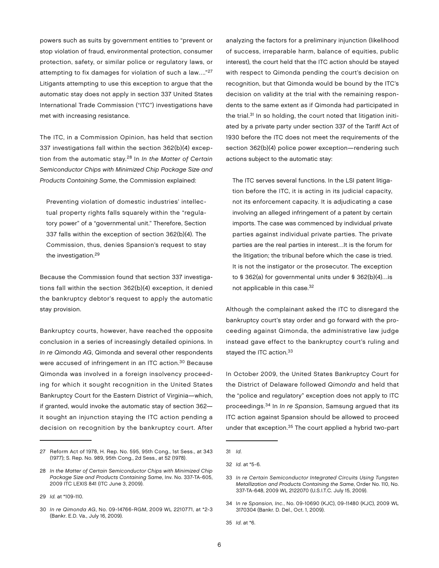powers such as suits by government entities to "prevent or stop violation of fraud, environmental protection, consumer protection, safety, or similar police or regulatory laws, or attempting to fix damages for violation of such a law…."27 Litigants attempting to use this exception to argue that the automatic stay does not apply in section 337 United States International Trade Commission ("ITC") investigations have met with increasing resistance.

The ITC, in a Commission Opinion, has held that section 337 investigations fall within the section 362(b)(4) exception from the automatic stay. $28 \ln In$  the Matter of Certain Semiconductor Chips with Minimized Chip Package Size and Products Containing Same, the Commission explained:

Preventing violation of domestic industries' intellectual property rights falls squarely within the "regulatory power" of a "governmental unit." Therefore, Section 337 falls within the exception of section 362(b)(4). The Commission, thus, denies Spansion's request to stay the investigation.<sup>29</sup>

Because the Commission found that section 337 investigations fall within the section 362(b)(4) exception, it denied the bankruptcy debtor's request to apply the automatic stay provision.

Bankruptcy courts, however, have reached the opposite conclusion in a series of increasingly detailed opinions. In In re Qimonda AG, Qimonda and several other respondents were accused of infringement in an ITC action.<sup>30</sup> Because Qimonda was involved in a foreign insolvency proceeding for which it sought recognition in the United States Bankruptcy Court for the Eastern District of Virginia—which, if granted, would invoke the automatic stay of section 362 it sought an injunction staying the ITC action pending a decision on recognition by the bankruptcy court. After analyzing the factors for a preliminary injunction (likelihood of success, irreparable harm, balance of equities, public interest), the court held that the ITC action should be stayed with respect to Qimonda pending the court's decision on recognition, but that Qimonda would be bound by the ITC's decision on validity at the trial with the remaining respondents to the same extent as if Qimonda had participated in the trial.<sup>31</sup> In so holding, the court noted that litigation initiated by a private party under section 337 of the Tariff Act of 1930 before the ITC does not meet the requirements of the section 362(b)(4) police power exception—rendering such actions subject to the automatic stay:

The ITC serves several functions. In the LSI patent litigation before the ITC, it is acting in its judicial capacity, not its enforcement capacity. It is adjudicating a case involving an alleged infringement of a patent by certain imports. The case was commenced by individual private parties against individual private parties. The private parties are the real parties in interest…It is the forum for the litigation; the tribunal before which the case is tried. It is not the instigator or the prosecutor. The exception to § 362(a) for governmental units under § 362(b)(4)…is not applicable in this case.<sup>32</sup>

Although the complainant asked the ITC to disregard the bankruptcy court's stay order and go forward with the proceeding against Qimonda, the administrative law judge instead gave effect to the bankruptcy court's ruling and stayed the ITC action.<sup>33</sup>

In October 2009, the United States Bankruptcy Court for the District of Delaware followed Qimonda and held that the "police and regulatory" exception does not apply to ITC proceedings.<sup>34</sup> In In re Spansion, Samsung argued that its ITC action against Spansion should be allowed to proceed under that exception.35 The court applied a hybrid two-part

<sup>27</sup> Reform Act of 1978, H. Rep. No. 595, 95th Cong., 1st Sess., at 343 (1977); S. Rep. No. 989, 95th Cong., 2d Sess., at 52 (1978).

<sup>28</sup> In the Matter of Certain Semiconductor Chips with Minimized Chip Package Size and Products Containing Same, Inv. No. 337-TA-605, 2009 ITC LEXIS 841 (ITC June 3, 2009).

<sup>29</sup> Id. at \*109-110.

<sup>30</sup> In re Qimonda AG, No. 09-14766-RGM, 2009 WL 2210771, at \*2-3 (Bankr. E.D. Va., July 16, 2009).

<sup>31</sup> Id.

<sup>32</sup> Id. at \*5-6.

<sup>33</sup> In re Certain Semiconductor Integrated Circuits Using Tungsten Metallization and Products Containing the Same, Order No. 110, No. 337-TA-648, 2009 WL 2122070 (U.S.I.T.C. July 15, 2009).

<sup>34</sup> In re Spansion, Inc., No. 09-10690 (KJC), 09-11480 (KJC), 2009 WL 3170304 (Bankr. D. Del., Oct. 1, 2009).

<sup>35</sup> Id. at \*6.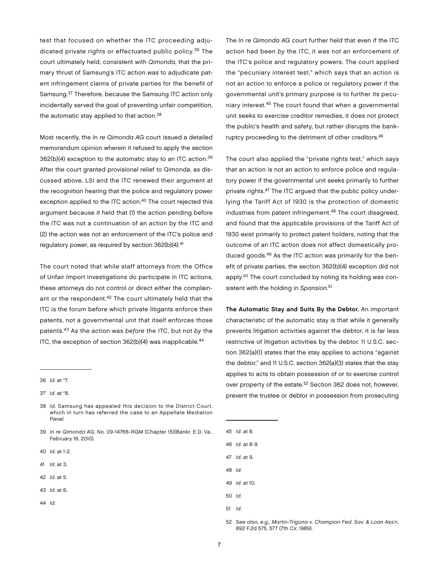test that focused on whether the ITC proceeding adjudicated private rights or effectuated public policy.36 The court ultimately held, consistent with Qimonda, that the primary thrust of Samsung's ITC action was to adjudicate patent infringement claims of private parties for the benefit of Samsung.37 Therefore, because the Samsung ITC action only incidentally served the goal of preventing unfair competition, the automatic stay applied to that action.<sup>38</sup>

Most recently, the In re Qimonda AG court issued a detailed memorandum opinion wherein it refused to apply the section  $362(b)(4)$  exception to the automatic stay to an ITC action.<sup>39</sup> After the court granted provisional relief to Qimonda, as discussed above, LSI and the ITC renewed their argument at the recognition hearing that the police and regulatory power exception applied to the ITC action.<sup>40</sup> The court rejected this argument because it held that (1) the action pending before the ITC was not a continuation of an action by the ITC and (2) the action was not an enforcement of the ITC's police and regulatory power, as required by section 362(b)(4).<sup>41</sup>

The court noted that while staff attorneys from the Office of Unfair Import Investigations do participate in ITC actions, these attorneys do not control or direct either the complainant or the respondent.<sup>42</sup> The court ultimately held that the ITC is the forum before which private litigants enforce their patents, not a governmental unit that itself enforces those patents.43 As the action was before the ITC, but not by the ITC, the exception of section  $362(b)(4)$  was inapplicable.<sup>44</sup>

- 38 Id. Samsung has appealed this decision to the District Court, which in turn has referred the case to an Appellate Mediation Panel.
- 39 In re Qimonda AG, No. 09-14766-RGM (Chapter 15)(Bankr. E.D. Va., February 16, 2010).
- 40 Id. at 1-2.
- 41 Id. at 3.
- 42 *Id.* at 5.
- 43 Id. at 6.
- 44 Id.

The In re Qimonda AG court further held that even if the ITC action had been by the ITC, it was not an enforcement of the ITC's police and regulatory powers. The court applied the "pecuniary interest test," which says that an action is not an action to enforce a police or regulatory power if the governmental unit's primary purpose is to further its pecuniary interest.45 The court found that when a governmental unit seeks to exercise creditor remedies, it does not protect the public's health and safety, but rather disrupts the bankruptcy proceeding to the detriment of other creditors.<sup>46</sup>

The court also applied the "private rights test," which says that an action is not an action to enforce police and regulatory power if the governmental unit seeks primarily to further private rights.47 The ITC argued that the public policy underlying the Tariff Act of 1930 is the protection of domestic industries from patent infringement.<sup>48</sup> The court disagreed, and found that the applicable provisions of the Tariff Act of 1930 exist primarily to protect patent holders, noting that the outcome of an ITC action does not affect domestically produced goods.49 As the ITC action was primarily for the benefit of private parties, the section 362(b)(4) exception did not apply.50 The court concluded by noting its holding was consistent with the holding in Spansion.<sup>51</sup>

The Automatic Stay and Suits By the Debtor. An important characteristic of the automatic stay is that while it generally prevents litigation activities against the debtor, it is far less restrictive of litigation activities by the debtor. 11 U.S.C. section 362(a)(1) states that the stay applies to actions "against the debtor," and 11 U.S.C. section 362(a)(3) states that the stay applies to acts to obtain possession of or to exercise control over property of the estate.52 Section 362 does not, however, prevent the trustee or debtor in possession from prosecuting

45 Id. at 8.

46 Id. at 8-9.

- 47 Id. at 9.
- 48 Id.
- 49 Id. at 10.
- 50 Id.
- 51 Id.

52 See also, e.g., Martin-Trigona v. Champion Fed. Sav. & Loan Ass'n, 892 F.2d 575, 577 (7th Cir. 1989).

<sup>36</sup> Id. at \*7.

<sup>37</sup> Id. at \*8.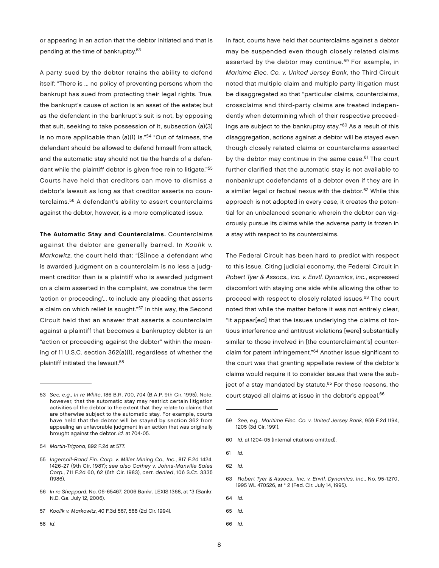or appearing in an action that the debtor initiated and that is pending at the time of bankruptcy.<sup>53</sup>

A party sued by the debtor retains the ability to defend itself: "There is ... no policy of preventing persons whom the bankrupt has sued from protecting their legal rights. True, the bankrupt's cause of action is an asset of the estate; but as the defendant in the bankrupt's suit is not, by opposing that suit, seeking to take possession of it, subsection (a)(3) is no more applicable than (a)(1) is."54 "Out of fairness, the defendant should be allowed to defend himself from attack, and the automatic stay should not tie the hands of a defendant while the plaintiff debtor is given free rein to litigate."<sup>55</sup> Courts have held that creditors can move to dismiss a debtor's lawsuit as long as that creditor asserts no counterclaims.56 A defendant's ability to assert counterclaims against the debtor, however, is a more complicated issue.

The Automatic Stay and Counterclaims. Counterclaims against the debtor are generally barred. In Koolik v. Markowitz, the court held that: "[S]ince a defendant who is awarded judgment on a counterclaim is no less a judgment creditor than is a plaintiff who is awarded judgment on a claim asserted in the complaint, we construe the term 'action or proceeding'... to include any pleading that asserts a claim on which relief is sought."<sup>57</sup> In this way, the Second Circuit held that an answer that asserts a counterclaim against a plaintiff that becomes a bankruptcy debtor is an "action or proceeding against the debtor" within the meaning of 11 U.S.C. section 362(a)(1), regardless of whether the plaintiff initiated the lawsuit.58

In fact, courts have held that counterclaims against a debtor may be suspended even though closely related claims asserted by the debtor may continue.<sup>59</sup> For example, in Maritime Elec. Co. v. United Jersey Bank, the Third Circuit noted that multiple claim and multiple party litigation must be disaggregated so that "particular claims, counterclaims, crossclaims and third-party claims are treated independently when determining which of their respective proceedings are subject to the bankruptcy stay."60 As a result of this disaggregation, actions against a debtor will be stayed even though closely related claims or counterclaims asserted by the debtor may continue in the same case.<sup>61</sup> The court further clarified that the automatic stay is not available to nonbankrupt codefendants of a debtor even if they are in a similar legal or factual nexus with the debtor.<sup>62</sup> While this approach is not adopted in every case, it creates the potential for an unbalanced scenario wherein the debtor can vigorously pursue its claims while the adverse party is frozen in a stay with respect to its counterclaims.

The Federal Circuit has been hard to predict with respect to this issue. Citing judicial economy, the Federal Circuit in Robert Tyer & Assocs., Inc. v. Envtl. Dynamics, Inc., expressed discomfort with staying one side while allowing the other to proceed with respect to closely related issues.63 The court noted that while the matter before it was not entirely clear, "it appear[ed] that the issues underlying the claims of tortious interference and antitrust violations [were] substantially similar to those involved in [the counterclaimant's] counterclaim for patent infringement."64 Another issue significant to the court was that granting appellate review of the debtor's claims would require it to consider issues that were the subject of a stay mandated by statute.<sup>65</sup> For these reasons, the court stayed all claims at issue in the debtor's appeal.<sup>66</sup>

61 Id.

- 63 Robert Tyer & Assocs., Inc. v. Envtl. Dynamics, Inc., No. 95-1270, 1995 WL 470526, at \* 2 (Fed. Cir. July 14, 1995).
- 64 Id.
- 65 Id.

<sup>53</sup> See, e.g., In re White, 186 B.R. 700, 704 (B.A.P. 9th Cir. 1995). Note, however, that the automatic stay may restrict certain litigation activities of the debtor to the extent that they relate to claims that are otherwise subject to the automatic stay. For example, courts have held that the debtor will be stayed by section 362 from appealing an unfavorable judgment in an action that was originally brought against the debtor. Id. at 704-05.

<sup>54</sup> Martin-Trigona, 892 F.2d at 577.

<sup>55</sup> Ingersoll-Rand Fin. Corp. v. Miller Mining Co., Inc., 817 F.2d 1424, 1426-27 (9th Cir. 1987); see also Cathey v. Johns-Manville Sales Corp., 711 F.2d 60, 62 (6th Cir. 1983), cert. denied, 106 S.Ct. 3335 (1986).

<sup>56</sup> In re Sheppard, No. 06-65467, 2006 Bankr. LEXIS 1368, at \*3 (Bankr. N.D. Ga. July 12, 2006).

<sup>57</sup> Koolik v. Markowitz, 40 F.3d 567, 568 (2d Cir. 1994).

<sup>58</sup> Id.

<sup>59</sup> See, e.g., Maritime Elec. Co. v. United Jersey Bank, 959 F.2d 1194, 1205 (3d Cir. 1991).

<sup>60</sup> Id. at 1204-05 (internal citations omitted).

<sup>62</sup> Id.

<sup>66</sup> Id.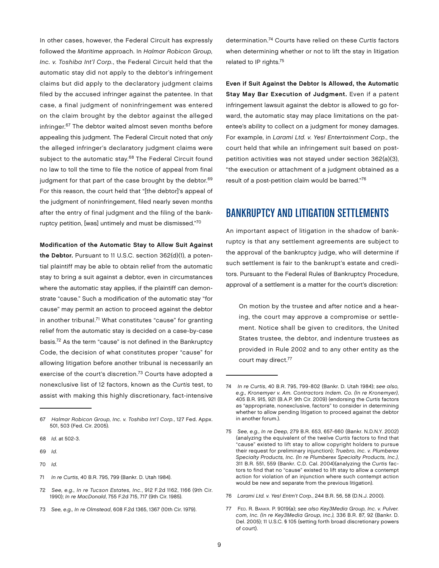In other cases, however, the Federal Circuit has expressly followed the Maritime approach. In Halmar Robicon Group, Inc. v. Toshiba Int'l Corp., the Federal Circuit held that the automatic stay did not apply to the debtor's infringement claims but did apply to the declaratory judgment claims filed by the accused infringer against the patentee. In that case, a final judgment of noninfringement was entered on the claim brought by the debtor against the alleged infringer.<sup>67</sup> The debtor waited almost seven months before appealing this judgment. The Federal Circuit noted that only the alleged infringer's declaratory judgment claims were subject to the automatic stay.<sup>68</sup> The Federal Circuit found no law to toll the time to file the notice of appeal from final judgment for that part of the case brought by the debtor.<sup>69</sup> For this reason, the court held that "[the debtor]'s appeal of the judgment of noninfringement, filed nearly seven months after the entry of final judgment and the filing of the bankruptcy petition, [was] untimely and must be dismissed."70

Modification of the Automatic Stay to Allow Suit Against

the Debtor. Pursuant to 11 U.S.C. section 362(d)(1), a potential plaintiff may be able to obtain relief from the automatic stay to bring a suit against a debtor, even in circumstances where the automatic stay applies, if the plaintiff can demonstrate "cause." Such a modification of the automatic stay "for cause" may permit an action to proceed against the debtor in another tribunal.<sup>71</sup> What constitutes "cause" for granting relief from the automatic stay is decided on a case-by-case basis.72 As the term "cause" is not defined in the Bankruptcy Code, the decision of what constitutes proper "cause" for allowing litigation before another tribunal is necessarily an exercise of the court's discretion.<sup>73</sup> Courts have adopted a nonexclusive list of 12 factors, known as the Curtis test, to assist with making this highly discretionary, fact-intensive

67 Halmar Robicon Group, Inc. v. Toshiba Int'l Corp., 127 Fed. Appx. 501, 503 (Fed. Cir. 2005).

- 68 Id. at 502-3.
- 69 Id.
- 70 Id.
- 71 In re Curtis, 40 B.R. 795, 799 (Bankr. D. Utah 1984).
- 72 See, e.g., In re Tucson Estates, Inc., 912 F.2d 1162, 1166 (9th Cir. 1990); In re MacDonald, 755 F.2d 715, 717 (9th Cir. 1985).
- 73 See, e.g., In re Olmstead, 608 F.2d 1365, 1367 (10th Cir. 1979).

determination.74 Courts have relied on these Curtis factors when determining whether or not to lift the stay in litigation related to IP rights.75

Even if Suit Against the Debtor Is Allowed, the Automatic Stay May Bar Execution of Judgment. Even if a patent infringement lawsuit against the debtor is allowed to go forward, the automatic stay may place limitations on the patentee's ability to collect on a judgment for money damages. For example, in Larami Ltd. v. Yes! Entertainment Corp., the court held that while an infringement suit based on postpetition activities was not stayed under section 362(a)(3), "the execution or attachment of a judgment obtained as a result of a post-petition claim would be barred."76

#### Bankruptcy and Litigation Settlements

An important aspect of litigation in the shadow of bankruptcy is that any settlement agreements are subject to the approval of the bankruptcy judge, who will determine if such settlement is fair to the bankrupt's estate and creditors. Pursuant to the Federal Rules of Bankruptcy Procedure, approval of a settlement is a matter for the court's discretion:

On motion by the trustee and after notice and a hearing, the court may approve a compromise or settlement. Notice shall be given to creditors, the United States trustee, the debtor, and indenture trustees as provided in Rule 2002 and to any other entity as the court may direct.<sup>77</sup>

- 76 Larami Ltd. v. Yes! Entm't Corp., 244 B.R. 56, 58 (D.N.J. 2000).
- 77 Fed. R. Bankr. P. 9019(a); see also Key3Media Group, Inc. v. Pulver. com, Inc. (In re Key3Media Group, Inc.), 336 B.R. 87, 92 (Bankr. D. Del. 2005); 11 U.S.C. § 105 (setting forth broad discretionary powers of court).

<sup>74</sup> In re Curtis, 40 B.R. 795, 799-802 (Bankr. D. Utah 1984); see also, e.g., Kronemyer v. Am. Contractors Indem. Co. (In re Kronemyer), 405 B.R. 915, 921 (B.A.P. 9th Cir. 2009) (endorsing the Curtis factors as "appropriate, nonexclusive, factors" to consider in determining whether to allow pending litigation to proceed against the debtor in another forum.).

<sup>75</sup> See, e.g., In re Deep, 279 B.R. 653, 657-660 (Bankr. N.D.N.Y. 2002) (analyzing the equivalent of the twelve Curtis factors to find that "cause" existed to lift stay to allow copyright holders to pursue their request for preliminary injunction); Truebro, Inc. v. Plumberex Specialty Products, Inc. (In re Plumberex Specialty Products, Inc.), 311 B.R. 551, 559 (Bankr. C.D. Cal. 2004)(analyzing the Curtis factors to find that no "cause" existed to lift stay to allow a contempt action for violation of an injunction where such contempt action would be new and separate from the previous litigation).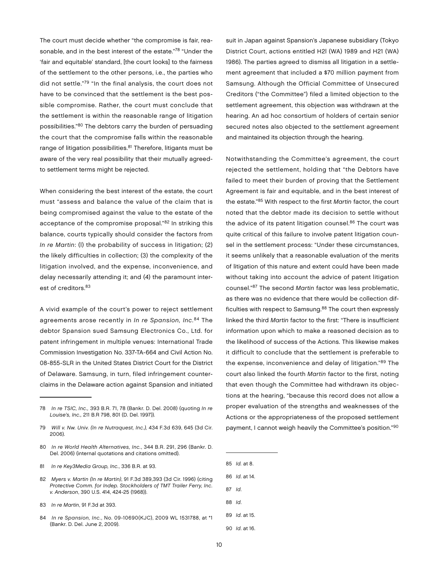The court must decide whether "the compromise is fair, reasonable, and in the best interest of the estate."<sup>78</sup> "Under the 'fair and equitable' standard, [the court looks] to the fairness of the settlement to the other persons, i.e., the parties who did not settle."<sup>79</sup> "In the final analysis, the court does not have to be convinced that the settlement is the best possible compromise. Rather, the court must conclude that the settlement is within the reasonable range of litigation possibilities."80 The debtors carry the burden of persuading the court that the compromise falls within the reasonable range of litigation possibilities.<sup>81</sup> Therefore, litigants must be aware of the very real possibility that their mutually agreedto settlement terms might be rejected.

When considering the best interest of the estate, the court must "assess and balance the value of the claim that is being compromised against the value to the estate of the acceptance of the compromise proposal."82 In striking this balance, courts typically should consider the factors from In re Martin: (I) the probability of success in litigation; (2) the likely difficulties in collection; (3) the complexity of the litigation involved, and the expense, inconvenience, and delay necessarily attending it; and (4) the paramount interest of creditors.<sup>83</sup>

A vivid example of the court's power to reject settlement agreements arose recently in In re Spansion, Inc.<sup>84</sup> The debtor Spansion sued Samsung Electronics Co., Ltd. for patent infringement in multiple venues: International Trade Commission Investigation No. 337-TA-664 and Civil Action No. 08-855-SLR in the United States District Court for the District of Delaware. Samsung, in turn, filed infringement counterclaims in the Delaware action against Spansion and initiated

- 80 In re World Health Alternatives, Inc., 344 B.R. 291, 296 (Bankr. D. Del. 2006) (internal quotations and citations omitted).
- 81 In re Key3Media Group, Inc., 336 B.R. at 93.
- 82 Myers v. Martin (In re Martin), 91 F.3d 389,393 (3d Cir. 1996) (citing Protective Comm. for Indep. Stockholders of TMT Trailer Ferry, Inc. v. Anderson, 390 U.S. 414, 424-25 (1968)).
- 83 In re Martin, 91 F.3d at 393.
- 84 In re Spansion, Inc., No. 09-10690(KJC), 2009 WL 1531788, at \*1 (Bankr. D. Del. June 2, 2009).

suit in Japan against Spansion's Japanese subsidiary (Tokyo District Court, actions entitled H2l (WA) 1989 and H21 (WA) 1986). The parties agreed to dismiss all litigation in a settlement agreement that included a \$70 million payment from Samsung. Although the Official Committee of Unsecured Creditors ("the Committee") filed a limited objection to the settlement agreement, this objection was withdrawn at the hearing. An ad hoc consortium of holders of certain senior secured notes also objected to the settlement agreement and maintained its objection through the hearing.

Notwithstanding the Committee's agreement, the court rejected the settlement, holding that "the Debtors have failed to meet their burden of proving that the Settlement Agreement is fair and equitable, and in the best interest of the estate."85 With respect to the first Martin factor, the court noted that the debtor made its decision to settle without the advice of its patent litigation counsel.<sup>86</sup> The court was quite critical of this failure to involve patent litigation counsel in the settlement process: "Under these circumstances, it seems unlikely that a reasonable evaluation of the merits of litigation of this nature and extent could have been made without taking into account the advice of patent litigation counsel."87 The second Martin factor was less problematic, as there was no evidence that there would be collection difficulties with respect to Samsung. $88$  The court then expressly linked the third Martin factor to the first: "There is insufficient information upon which to make a reasoned decision as to the likelihood of success of the Actions. This likewise makes it difficult to conclude that the settlement is preferable to the expense, inconvenience and delay of litigation."89 The court also linked the fourth Martin factor to the first, noting that even though the Committee had withdrawn its objections at the hearing, "because this record does not allow a proper evaluation of the strengths and weaknesses of the Actions or the appropriateness of the proposed settlement payment, I cannot weigh heavily the Committee's position."90

- 85 Id. at 8.
- 86 Id. at 14.
- 87 Id.
- 88 Id.
- 89 Id. at 15.
- 90 Id. at 16.

<sup>78</sup> In re TSIC, Inc., 393 B.R. 71, 78 (Bankr. D. Del. 2008) (quoting In re Louise's, Inc., 211 B.R 798, 801 (D. Del. 1997)).

<sup>79</sup> Will v. Nw. Univ. (In re Nutraquest, Inc.), 434 F.3d 639, 645 (3d Cir. 2006).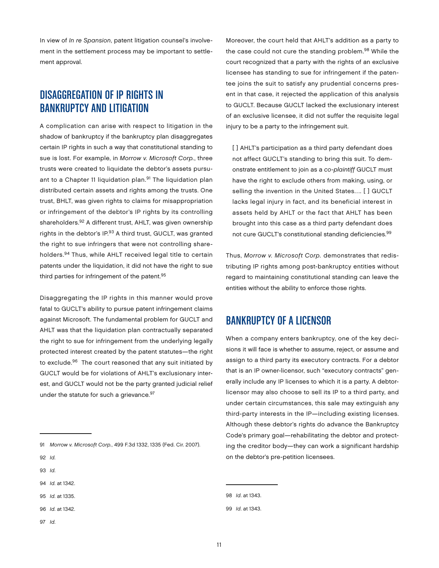In view of In re Spansion, patent litigation counsel's involvement in the settlement process may be important to settlement approval.

### Disaggregation of IP Rights in Bankruptcy and Litigation

A complication can arise with respect to litigation in the shadow of bankruptcy if the bankruptcy plan disaggregates certain IP rights in such a way that constitutional standing to sue is lost. For example, in Morrow v. Microsoft Corp., three trusts were created to liquidate the debtor's assets pursuant to a Chapter 11 liquidation plan.<sup>91</sup> The liquidation plan distributed certain assets and rights among the trusts. One trust, BHLT, was given rights to claims for misappropriation or infringement of the debtor's IP rights by its controlling shareholders.92 A different trust, AHLT, was given ownership rights in the debtor's IP.<sup>93</sup> A third trust, GUCLT, was granted the right to sue infringers that were not controlling shareholders.94 Thus, while AHLT received legal title to certain patents under the liquidation, it did not have the right to sue third parties for infringement of the patent.<sup>95</sup>

Disaggregating the IP rights in this manner would prove fatal to GUCLT's ability to pursue patent infringement claims against Microsoft. The fundamental problem for GUCLT and AHLT was that the liquidation plan contractually separated the right to sue for infringement from the underlying legally protected interest created by the patent statutes—the right to exclude.<sup>96</sup> The court reasoned that any suit initiated by GUCLT would be for violations of AHLT's exclusionary interest, and GUCLT would not be the party granted judicial relief under the statute for such a grievance. 97

93 Id.

97 Id.

Moreover, the court held that AHLT's addition as a party to the case could not cure the standing problem.<sup>98</sup> While the court recognized that a party with the rights of an exclusive licensee has standing to sue for infringement if the patentee joins the suit to satisfy any prudential concerns present in that case, it rejected the application of this analysis to GUCLT. Because GUCLT lacked the exclusionary interest of an exclusive licensee, it did not suffer the requisite legal injury to be a party to the infringement suit.

[] AHLT's participation as a third party defendant does not affect GUCLT's standing to bring this suit. To demonstrate entitlement to join as a co-plaintiff GUCLT must have the right to exclude others from making, using, or selling the invention in the United States…. [ ] GUCLT lacks legal injury in fact, and its beneficial interest in assets held by AHLT or the fact that AHLT has been brought into this case as a third party defendant does not cure GUCLT's constitutional standing deficiencies.<sup>99</sup>

Thus, Morrow v. Microsoft Corp. demonstrates that redistributing IP rights among post-bankruptcy entities without regard to maintaining constitutional standing can leave the entities without the ability to enforce those rights.

#### Bankruptcy of a Licensor

When a company enters bankruptcy, one of the key decisions it will face is whether to assume, reject, or assume and assign to a third party its executory contracts. For a debtor that is an IP owner-licensor, such "executory contracts" generally include any IP licenses to which it is a party. A debtorlicensor may also choose to sell its IP to a third party, and under certain circumstances, this sale may extinguish any third-party interests in the IP—including existing licenses. Although these debtor's rights do advance the Bankruptcy Code's primary goal—rehabilitating the debtor and protecting the creditor body—they can work a significant hardship on the debtor's pre-petition licensees.

<sup>91</sup> Morrow v. Microsoft Corp., 499 F.3d 1332, 1335 (Fed. Cir. 2007).

<sup>92</sup> Id.

<sup>94</sup> Id. at 1342.

<sup>95</sup> Id. at 1335.

<sup>96</sup> Id. at 1342.

<sup>98</sup> Id. at 1343.

<sup>99</sup> Id. at 1343.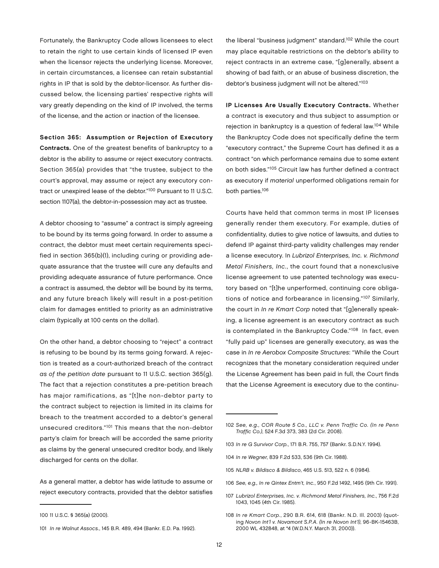Fortunately, the Bankruptcy Code allows licensees to elect to retain the right to use certain kinds of licensed IP even when the licensor rejects the underlying license. Moreover, in certain circumstances, a licensee can retain substantial rights in IP that is sold by the debtor-licensor. As further discussed below, the licensing parties' respective rights will vary greatly depending on the kind of IP involved, the terms of the license, and the action or inaction of the licensee.

Section 365: Assumption or Rejection of Executory Contracts. One of the greatest benefits of bankruptcy to a debtor is the ability to assume or reject executory contracts. Section 365(a) provides that "the trustee, subject to the court's approval, may assume or reject any executory contract or unexpired lease of the debtor."100 Pursuant to 11 U.S.C. section 1107(a), the debtor-in-possession may act as trustee.

A debtor choosing to "assume" a contract is simply agreeing to be bound by its terms going forward. In order to assume a contract, the debtor must meet certain requirements specified in section 365(b)(1), including curing or providing adequate assurance that the trustee will cure any defaults and providing adequate assurance of future performance. Once a contract is assumed, the debtor will be bound by its terms, and any future breach likely will result in a post-petition claim for damages entitled to priority as an administrative claim (typically at 100 cents on the dollar).

On the other hand, a debtor choosing to "reject" a contract is refusing to be bound by its terms going forward. A rejection is treated as a court-authorized breach of the contract as of the petition date pursuant to 11 U.S.C. section 365(g). The fact that a rejection constitutes a pre-petition breach has major ramifications, as "[t]he non-debtor party to the contract subject to rejection is limited in its claims for breach to the treatment accorded to a debtor's general unsecured creditors."101 This means that the non-debtor party's claim for breach will be accorded the same priority as claims by the general unsecured creditor body, and likely discharged for cents on the dollar.

As a general matter, a debtor has wide latitude to assume or reject executory contracts, provided that the debtor satisfies the liberal "business judgment" standard.<sup>102</sup> While the court may place equitable restrictions on the debtor's ability to reject contracts in an extreme case, "[g]enerally, absent a showing of bad faith, or an abuse of business discretion, the debtor's business judgment will not be altered."103

IP Licenses Are Usually Executory Contracts. Whether a contract is executory and thus subject to assumption or rejection in bankruptcy is a question of federal law.104 While the Bankruptcy Code does not specifically define the term "executory contract," the Supreme Court has defined it as a contract "on which performance remains due to some extent on both sides."105 Circuit law has further defined a contract as executory if material unperformed obligations remain for both parties.106

Courts have held that common terms in most IP licenses generally render them executory. For example, duties of confidentiality, duties to give notice of lawsuits, and duties to defend IP against third-party validity challenges may render a license executory. In Lubrizol Enterprises, Inc. v. Richmond Metal Finishers, Inc., the court found that a nonexclusive license agreement to use patented technology was executory based on "[t]he unperformed, continuing core obligations of notice and forbearance in licensing."107 Similarly, the court in In re Kmart Corp noted that "[g]enerally speaking, a license agreement is an executory contract as such is contemplated in the Bankruptcy Code."<sup>108</sup> In fact, even "fully paid up" licenses are generally executory, as was the case in In re Aerobox Composite Structures: "While the Court recognizes that the monetary consideration required under the License Agreement has been paid in full, the Court finds that the License Agreement is executory due to the continu-

- 103 In re G Survivor Corp., 171 B.R. 755, 757 (Bankr. S.D.N.Y. 1994).
- 104 In re Wegner, 839 F.2d 533, 536 (9th Cir. 1988).
- 105 NLRB v. Bildisco & Bildisco, 465 U.S. 513, 522 n. 6 (1984).
- 106 See, e.g., In re Qintex Entm't, Inc., 950 F.2d 1492, 1495 (9th Cir. 1991).

<sup>100</sup> 11 U.S.C. § 365(a) (2000).

<sup>101</sup> In re Walnut Assocs., 145 B.R. 489, 494 (Bankr. E.D. Pa. 1992).

<sup>102</sup> See, e.g., COR Route 5 Co., LLC v. Penn Traffic Co. (In re Penn Traffic Co.), 524 F.3d 373, 383 (2d Cir. 2008).

<sup>107</sup> Lubrizol Enterprises, Inc. v. Richmond Metal Finishers, Inc., 756 F.2d 1043, 1045 (4th Cir. 1985).

<sup>108</sup> In re Kmart Corp., 290 B.R. 614, 618 (Bankr. N.D. Ill. 2003) (quoting Novon Int'l v. Novamont S.P.A. (In re Novon Int'l), 96-BK-15463B, 2000 WL 432848, at \*4 (W.D.N.Y. March 31, 2000)).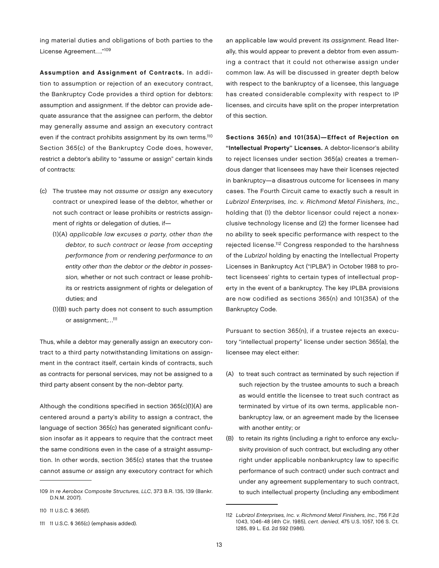ing material duties and obligations of both parties to the License Agreement…."109

Assumption and Assignment of Contracts. In addition to assumption or rejection of an executory contract, the Bankruptcy Code provides a third option for debtors: assumption and assignment. If the debtor can provide adequate assurance that the assignee can perform, the debtor may generally assume and assign an executory contract even if the contract prohibits assignment by its own terms.<sup>110</sup> Section 365(c) of the Bankruptcy Code does, however, restrict a debtor's ability to "assume or assign" certain kinds of contracts:

- (c) The trustee may not assume or assign any executory contract or unexpired lease of the debtor, whether or not such contract or lease prohibits or restricts assignment of rights or delegation of duties, if—
	- (1)(A) applicable law excuses a party, other than the debtor, to such contract or lease from accepting performance from or rendering performance to an entity other than the debtor or the debtor in possession, whether or not such contract or lease prohibits or restricts assignment of rights or delegation of duties; and
	- (1)(B) such party does not consent to such assumption or assignment;...<sup>111</sup>

Thus, while a debtor may generally assign an executory contract to a third party notwithstanding limitations on assignment in the contract itself, certain kinds of contracts, such as contracts for personal services, may not be assigned to a third party absent consent by the non-debtor party.

Although the conditions specified in section 365(c)(1)(A) are centered around a party's ability to assign a contract, the language of section 365(c) has generated significant confusion insofar as it appears to require that the contract meet the same conditions even in the case of a straight assumption. In other words, section 365(c) states that the trustee cannot assume or assign any executory contract for which

an applicable law would prevent its assignment. Read literally, this would appear to prevent a debtor from even assuming a contract that it could not otherwise assign under common law. As will be discussed in greater depth below with respect to the bankruptcy of a licensee, this language has created considerable complexity with respect to IP licenses, and circuits have split on the proper interpretation of this section.

Sections 365(n) and 101(35A)—Effect of Rejection on "Intellectual Property" Licenses. A debtor-licensor's ability to reject licenses under section 365(a) creates a tremendous danger that licensees may have their licenses rejected in bankruptcy—a disastrous outcome for licensees in many cases. The Fourth Circuit came to exactly such a result in Lubrizol Enterprises, Inc. v. Richmond Metal Finishers, Inc., holding that (1) the debtor licensor could reject a nonexclusive technology license and (2) the former licensee had no ability to seek specific performance with respect to the rejected license.112 Congress responded to the harshness of the Lubrizol holding by enacting the Intellectual Property Licenses in Bankruptcy Act ("IPLBA") in October 1988 to protect licensees' rights to certain types of intellectual property in the event of a bankruptcy. The key IPLBA provisions are now codified as sections 365(n) and 101(35A) of the Bankruptcy Code.

Pursuant to section 365(n), if a trustee rejects an executory "intellectual property" license under section 365(a), the licensee may elect either:

- (A) to treat such contract as terminated by such rejection if such rejection by the trustee amounts to such a breach as would entitle the licensee to treat such contract as terminated by virtue of its own terms, applicable nonbankruptcy law, or an agreement made by the licensee with another entity; or
- (B) to retain its rights (including a right to enforce any exclusivity provision of such contract, but excluding any other right under applicable nonbankruptcy law to specific performance of such contract) under such contract and under any agreement supplementary to such contract, to such intellectual property (including any embodiment

<sup>109</sup> In re Aerobox Composite Structures, LLC, 373 B.R. 135, 139 (Bankr. D.N.M. 2007).

<sup>110</sup> 11 U.S.C. § 365(f).

<sup>111</sup> 11 U.S.C. § 365(c) (emphasis added).

<sup>112</sup> Lubrizol Enterprises, Inc. v. Richmond Metal Finishers, Inc., 756 F.2d 1043, 1046-48 (4th Cir. 1985), cert. denied, 475 U.S. 1057, 106 S. Ct. 1285, 89 L. Ed. 2d 592 (1986).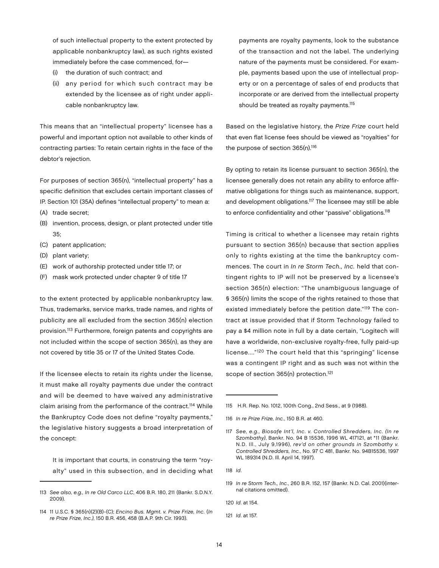of such intellectual property to the extent protected by applicable nonbankruptcy law), as such rights existed immediately before the case commenced, for—

- (i) the duration of such contract; and
- (ii) any period for which such contract may be extended by the licensee as of right under applicable nonbankruptcy law.

This means that an "intellectual property" licensee has a powerful and important option not available to other kinds of contracting parties: To retain certain rights in the face of the debtor's rejection.

For purposes of section 365(n), "intellectual property" has a specific definition that excludes certain important classes of IP. Section 101 (35A) defines "intellectual property" to mean a:

- (A) trade secret;
- (B) invention, process, design, or plant protected under title 35;
- (C) patent application;
- (D) plant variety;
- (E) work of authorship protected under title 17; or
- (F) mask work protected under chapter 9 of title 17

to the extent protected by applicable nonbankruptcy law. Thus, trademarks, service marks, trade names, and rights of publicity are all excluded from the section 365(n) election provision.113 Furthermore, foreign patents and copyrights are not included within the scope of section 365(n), as they are not covered by title 35 or 17 of the United States Code.

If the licensee elects to retain its rights under the license, it must make all royalty payments due under the contract and will be deemed to have waived any administrative claim arising from the performance of the contract.<sup>114</sup> While the Bankruptcy Code does not define "royalty payments," the legislative history suggests a broad interpretation of the concept:

 It is important that courts, in construing the term "royalty" used in this subsection, and in deciding what

payments are royalty payments, look to the substance of the transaction and not the label. The underlying nature of the payments must be considered. For example, payments based upon the use of intellectual property or on a percentage of sales of end products that incorporate or are derived from the intellectual property should be treated as royalty payments.<sup>115</sup>

Based on the legislative history, the Prize Frize court held that even flat license fees should be viewed as "royalties" for the purpose of section 365(n).<sup>116</sup>

By opting to retain its license pursuant to section 365(n), the licensee generally does not retain any ability to enforce affirmative obligations for things such as maintenance, support, and development obligations.<sup>117</sup> The licensee may still be able to enforce confidentiality and other "passive" obligations.<sup>118</sup>

Timing is critical to whether a licensee may retain rights pursuant to section 365(n) because that section applies only to rights existing at the time the bankruptcy commences. The court in In re Storm Tech., Inc. held that contingent rights to IP will not be preserved by a licensee's section 365(n) election: "The unambiguous language of § 365(n) limits the scope of the rights retained to those that existed immediately before the petition date."119 The contract at issue provided that if Storm Technology failed to pay a \$4 million note in full by a date certain, "Logitech will have a worldwide, non-exclusive royalty-free, fully paid-up license...."120 The court held that this "springing" license was a contingent IP right and as such was not within the scope of section 365(n) protection.<sup>121</sup>

120 Id. at 154.

121 Id. at 157.

<sup>113</sup> See also, e.g., In re Old Carco LLC, 406 B.R. 180, 211 (Bankr. S.D.N.Y. 2009).

<sup>114</sup> 11 U.S.C. § 365(n)(2)(B)-(C); Encino Bus. Mgmt. v. Prize Frize, Inc. (In re Prize Frize, Inc.), 150 B.R. 456, 458 (B.A.P. 9th Cir. 1993).

<sup>115</sup> H.R. Rep. No. 1012, 100th Cong., 2nd Sess., at 9 (1988).

<sup>116</sup> In re Prize Frize, Inc., 150 B.R. at 460.

<sup>117</sup> See, e.g., Biosafe Int'l, Inc. v. Controlled Shredders, Inc. (In re Szombathy), Bankr. No. 94 B 15536, 1996 WL 417121, at \*11 (Bankr. N.D. Ill., July 9,1996), rev'd on other grounds in Szombathy v. Controlled Shredders, Inc., No. 97 C 481, Bankr. No. 94B15536, 1997 WL 189314 (N.D. Ill. April 14, 1997).

<sup>118</sup> Id.

<sup>119</sup> In re Storm Tech., Inc., 260 B.R. 152, 157 (Bankr. N.D. Cal. 2001)(internal citations omitted).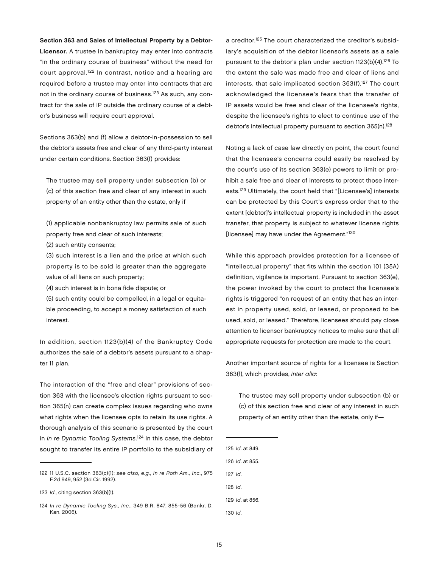#### Section 363 and Sales of Intellectual Property by a Debtor-

Licensor. A trustee in bankruptcy may enter into contracts "in the ordinary course of business" without the need for court approval.122 In contrast, notice and a hearing are required before a trustee may enter into contracts that are not in the ordinary course of business.<sup>123</sup> As such, any contract for the sale of IP outside the ordinary course of a debtor's business will require court approval.

Sections 363(b) and (f) allow a debtor-in-possession to sell the debtor's assets free and clear of any third-party interest under certain conditions. Section 363(f) provides:

The trustee may sell property under subsection (b) or (c) of this section free and clear of any interest in such property of an entity other than the estate, only if

(1) applicable nonbankruptcy law permits sale of such property free and clear of such interests;

(2) such entity consents;

(3) such interest is a lien and the price at which such property is to be sold is greater than the aggregate value of all liens on such property;

(4) such interest is in bona fide dispute; or

(5) such entity could be compelled, in a legal or equitable proceeding, to accept a money satisfaction of such interest.

In addition, section 1123(b)(4) of the Bankruptcy Code authorizes the sale of a debtor's assets pursuant to a chapter 11 plan.

The interaction of the "free and clear" provisions of section 363 with the licensee's election rights pursuant to section 365(n) can create complex issues regarding who owns what rights when the licensee opts to retain its use rights. A thorough analysis of this scenario is presented by the court in In re Dynamic Tooling Systems.<sup>124</sup> In this case, the debtor sought to transfer its entire IP portfolio to the subsidiary of a creditor.<sup>125</sup> The court characterized the creditor's subsidiary's acquisition of the debtor licensor's assets as a sale pursuant to the debtor's plan under section 1123(b)(4).<sup>126</sup> To the extent the sale was made free and clear of liens and interests, that sale implicated section 363(f).<sup>127</sup> The court acknowledged the licensee's fears that the transfer of IP assets would be free and clear of the licensee's rights, despite the licensee's rights to elect to continue use of the debtor's intellectual property pursuant to section 365(n).<sup>128</sup>

Noting a lack of case law directly on point, the court found that the licensee's concerns could easily be resolved by the court's use of its section 363(e) powers to limit or prohibit a sale free and clear of interests to protect those interests.129 Ultimately, the court held that "[Licensee's] interests can be protected by this Court's express order that to the extent [debtor]'s intellectual property is included in the asset transfer, that property is subject to whatever license rights [licensee] may have under the Agreement."130

While this approach provides protection for a licensee of "intellectual property" that fits within the section 101 (35A) definition, vigilance is important. Pursuant to section 363(e), the power invoked by the court to protect the licensee's rights is triggered "on request of an entity that has an interest in property used, sold, or leased, or proposed to be used, sold, or leased." Therefore, licensees should pay close attention to licensor bankruptcy notices to make sure that all appropriate requests for protection are made to the court.

Another important source of rights for a licensee is Section 363(f), which provides, inter alia:

The trustee may sell property under subsection (b) or (c) of this section free and clear of any interest in such property of an entity other than the estate, only if—

<sup>122</sup> 11 U.S.C. section 363(c)(1); see also, e.g., In re Roth Am., Inc., 975 F.2d 949, 952 (3d Cir. 1992).

<sup>123</sup> Id., citing section 363(b)(1).

<sup>124</sup> In re Dynamic Tooling Sys., Inc., 349 B.R. 847, 855-56 (Bankr. D. Kan. 2006).

<sup>125</sup> Id. at 849.

<sup>126</sup> Id. at 855.

<sup>127</sup> Id.

<sup>128</sup> Id.

<sup>129</sup> Id. at 856.

<sup>130</sup> Id.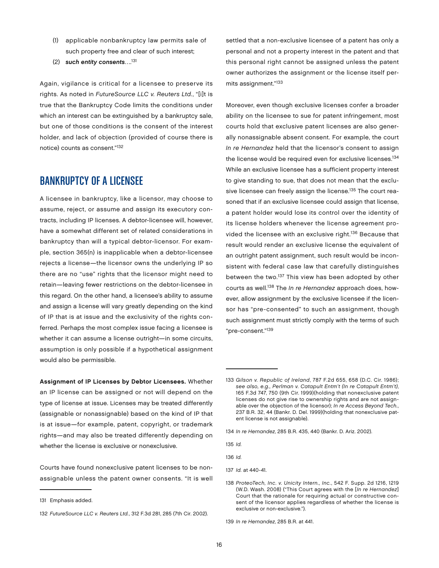- (1) applicable nonbankruptcy law permits sale of such property free and clear of such interest;
- (2) such entity consents...<sup>131</sup>

Again, vigilance is critical for a licensee to preserve its rights. As noted in FutureSource LLC v. Reuters Ltd., "[i]t is true that the Bankruptcy Code limits the conditions under which an interest can be extinguished by a bankruptcy sale, but one of those conditions is the consent of the interest holder, and lack of objection (provided of course there is notice) counts as consent."132

#### Bankruptcy of a Licensee

A licensee in bankruptcy, like a licensor, may choose to assume, reject, or assume and assign its executory contracts, including IP licenses. A debtor-licensee will, however, have a somewhat different set of related considerations in bankruptcy than will a typical debtor-licensor. For example, section 365(n) is inapplicable when a debtor-licensee rejects a license—the licensor owns the underlying IP so there are no "use" rights that the licensor might need to retain—leaving fewer restrictions on the debtor-licensee in this regard. On the other hand, a licensee's ability to assume and assign a license will vary greatly depending on the kind of IP that is at issue and the exclusivity of the rights conferred. Perhaps the most complex issue facing a licensee is whether it can assume a license outright—in some circuits, assumption is only possible if a hypothetical assignment would also be permissible.

Assignment of IP Licenses by Debtor Licensees. Whether an IP license can be assigned or not will depend on the type of license at issue. Licenses may be treated differently (assignable or nonassignable) based on the kind of IP that is at issue—for example, patent, copyright, or trademark rights—and may also be treated differently depending on whether the license is exclusive or nonexclusive.

Courts have found nonexclusive patent licenses to be nonassignable unless the patent owner consents. "It is well settled that a non-exclusive licensee of a patent has only a personal and not a property interest in the patent and that this personal right cannot be assigned unless the patent owner authorizes the assignment or the license itself permits assignment."133

Moreover, even though exclusive licenses confer a broader ability on the licensee to sue for patent infringement, most courts hold that exclusive patent licenses are also generally nonassignable absent consent. For example, the court In re Hernandez held that the licensor's consent to assign the license would be required even for exclusive licenses.<sup>134</sup> While an exclusive licensee has a sufficient property interest to give standing to sue, that does not mean that the exclusive licensee can freely assign the license.<sup>135</sup> The court reasoned that if an exclusive licensee could assign that license, a patent holder would lose its control over the identity of its license holders whenever the license agreement provided the licensee with an exclusive right.136 Because that result would render an exclusive license the equivalent of an outright patent assignment, such result would be inconsistent with federal case law that carefully distinguishes between the two.<sup>137</sup> This view has been adopted by other courts as well.<sup>138</sup> The In re Hernandez approach does, however, allow assignment by the exclusive licensee if the licensor has "pre-consented" to such an assignment, though such assignment must strictly comply with the terms of such "pre-consent."139

135 Id.

136 Id.

<sup>131</sup> Emphasis added.

<sup>132</sup> FutureSource LLC v. Reuters Ltd., 312 F.3d 281, 285 (7th Cir. 2002).

<sup>133</sup> Gilson v. Republic of Ireland, 787 F.2d 655, 658 (D.C. Cir. 1986); see also, e.g., Perlman v. Catapult Entm't (In re Catapult Entm't), 165 F.3d 747, 750 (9th Cir. 1999)(holding that nonexclusive patent licenses do not give rise to ownership rights and are not assignable over the objection of the licensor); In re Access Beyond Tech., 237 B.R. 32, 44 (Bankr. D. Del. 1999)(holding that nonexclusive patent license is not assignable).

<sup>134</sup> In re Hernandez, 285 B.R. 435, 440 (Bankr. D. Ariz. 2002).

<sup>137</sup> Id. at 440-41.

<sup>138</sup> ProteoTech, Inc. v. Unicity Intern., Inc., 542 F. Supp. 2d 1216, 1219 (W.D. Wash. 2008) ("This Court agrees with the [In re Hernandez] Court that the rationale for requiring actual or constructive consent of the licensor applies regardless of whether the license is exclusive or non-exclusive.").

<sup>139</sup> In re Hernandez, 285 B.R. at 441.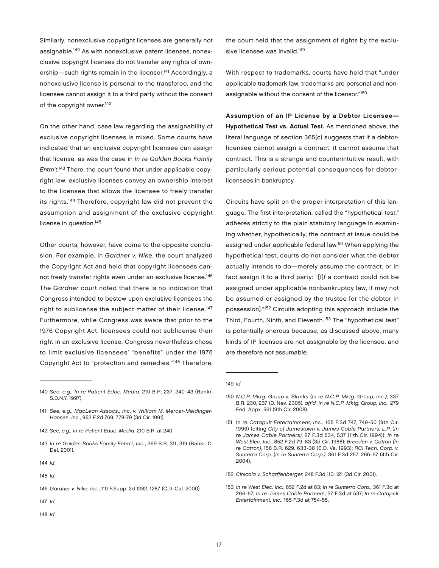Similarly, nonexclusive copyright licenses are generally not assignable.140 As with nonexclusive patent licenses, nonexclusive copyright licenses do not transfer any rights of ownership—such rights remain in the licensor.<sup>141</sup> Accordingly, a nonexclusive license is personal to the transferee, and the licensee cannot assign it to a third party without the consent of the copyright owner.<sup>142</sup>

On the other hand, case law regarding the assignability of exclusive copyright licenses is mixed. Some courts have indicated that an exclusive copyright licensee can assign that license, as was the case in In re Golden Books Family Entm't.<sup>143</sup> There, the court found that under applicable copyright law, exclusive licenses convey an ownership interest to the licensee that allows the licensee to freely transfer its rights.144 Therefore, copyright law did not prevent the assumption and assignment of the exclusive copyright license in question.<sup>145</sup>

Other courts, however, have come to the opposite conclusion. For example, in Gardner v. Nike, the court analyzed the Copyright Act and held that copyright licensees cannot freely transfer rights even under an exclusive license.146 The Gardner court noted that there is no indication that Congress intended to bestow upon exclusive licensees the right to sublicense the subject matter of their license.<sup>147</sup> Furthermore, while Congress was aware that prior to the 1976 Copyright Act, licensees could not sublicense their right in an exclusive license, Congress nevertheless chose to limit exclusive licensees' "benefits" under the 1976 Copyright Act to "protection and remedies."148 Therefore,

- 143 In re Golden Books Family Entm't, Inc., 269 B.R. 311, 319 (Bankr. D. Del. 2001).
- 144 Id.
- 145 Id.

- 147 Id.
- 148 Id.

the court held that the assignment of rights by the exclusive licensee was invalid.<sup>149</sup>

With respect to trademarks, courts have held that "under applicable trademark law, trademarks are personal and nonassignable without the consent of the licensor."150

Assumption of an IP License by a Debtor Licensee— Hypothetical Test vs. Actual Test. As mentioned above, the literal language of section 365(c) suggests that if a debtorlicensee cannot assign a contract, it cannot assume that contract. This is a strange and counterintuitive result, with particularly serious potential consequences for debtorlicensees in bankruptcy.

Circuits have split on the proper interpretation of this language. The first interpretation, called the "hypothetical test," adheres strictly to the plain statutory language in examining whether, hypothetically, the contract at issue could be assigned under applicable federal law.151 When applying the hypothetical test, courts do not consider what the debtor actually intends to do—merely assume the contract, or in fact assign it to a third party: "[I]f a contract could not be assigned under applicable nonbankruptcy law, it may not be assumed or assigned by the trustee [or the debtor in possession]."152 Circuits adopting this approach include the Third, Fourth, Ninth, and Eleventh.<sup>153</sup> The "hypothetical test" is potentially onerous because, as discussed above, many kinds of IP licenses are not assignable by the licensee, and are therefore not assumable.

- 152 Cinicola v. Scharffenberger, 248 F.3d 110, 121 (3d Cir. 2001).
- 153 In re West Elec. Inc., 852 F.2d at 83; In re Sunterra Corp., 361 F.3d at 266-67; In re James Cable Partners, 27 F.3d at 537; In re Catapult Entertainment, Inc., 165 F.3d at 754-55.

<sup>140</sup> See, e.g., In re Patient Educ. Media, 210 B.R. 237, 240-43 (Bankr. S.D.N.Y. 1997).

<sup>141</sup> See, e.g., MacLean Assocs., Inc. v. William M. Mercer-Meidinger-Hansen, Inc., 952 F.2d 769, 778-79 (3d Cir. 1991).

<sup>142</sup> See, e.g., In re Patient Educ. Media, 210 B.R. at 240.

<sup>146</sup> Gardner v. Nike, Inc., 110 F.Supp. 2d 1282, 1287 (C.D. Cal. 2000).

<sup>149</sup> Id.

<sup>150</sup> N.C.P. Mktg. Group v. Blanks (In re N.C.P. Mktg. Group, Inc.), 337 B.R. 230, 237 (D. Nev. 2005), aff'd, In re N.C.P. Mktg. Group, Inc., 279 Fed. Appx. 561 (9th Cir. 2008).

<sup>151</sup> In re Catapult Entertainment, Inc., 165 F.3d 747, 749-50 (9th Cir. 1999) (citing City of Jamestown v. James Cable Partners, L.P. (In re James Cable Partners), 27 F.3d 534, 537 (11th Cir. 1994)); In re West Elec. Inc., 852 F.2d 79, 83 (3d Cir. 1988); Breeden v. Catron (In re Catron), 158 B.R. 629, 633-38 (E.D. Va. 1993); RCI Tech. Corp. v. Sunterra Corp. (In re Sunterra Corp.), 361 F.3d 257, 266-67 (4th Cir. 2004).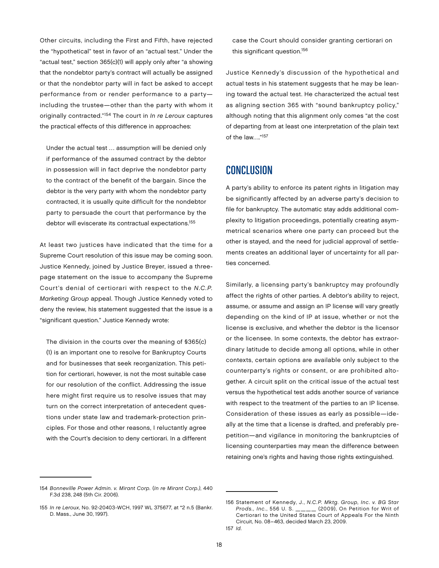Other circuits, including the First and Fifth, have rejected the "hypothetical" test in favor of an "actual test." Under the "actual test," section 365(c)(1) will apply only after "a showing that the nondebtor party's contract will actually be assigned or that the nondebtor party will in fact be asked to accept performance from or render performance to a party including the trustee—other than the party with whom it originally contracted."<sup>154</sup> The court in In re Leroux captures the practical effects of this difference in approaches:

Under the actual test … assumption will be denied only if performance of the assumed contract by the debtor in possession will in fact deprive the nondebtor party to the contract of the benefit of the bargain. Since the debtor is the very party with whom the nondebtor party contracted, it is usually quite difficult for the nondebtor party to persuade the court that performance by the debtor will eviscerate its contractual expectations.<sup>155</sup>

At least two justices have indicated that the time for a Supreme Court resolution of this issue may be coming soon. Justice Kennedy, joined by Justice Breyer, issued a threepage statement on the issue to accompany the Supreme Court's denial of certiorari with respect to the N.C.P. Marketing Group appeal. Though Justice Kennedy voted to deny the review, his statement suggested that the issue is a "significant question." Justice Kennedy wrote:

The division in the courts over the meaning of §365(c) (1) is an important one to resolve for Bankruptcy Courts and for businesses that seek reorganization. This petition for certiorari, however, is not the most suitable case for our resolution of the conflict. Addressing the issue here might first require us to resolve issues that may turn on the correct interpretation of antecedent questions under state law and trademark-protection principles. For those and other reasons, I reluctantly agree with the Court's decision to deny certiorari. In a different case the Court should consider granting certiorari on this significant question.<sup>156</sup>

Justice Kennedy's discussion of the hypothetical and actual tests in his statement suggests that he may be leaning toward the actual test. He characterized the actual test as aligning section 365 with "sound bankruptcy policy," although noting that this alignment only comes "at the cost of departing from at least one interpretation of the plain text of the law…."157

#### **CONCLUSION**

A party's ability to enforce its patent rights in litigation may be significantly affected by an adverse party's decision to file for bankruptcy. The automatic stay adds additional complexity to litigation proceedings, potentially creating asymmetrical scenarios where one party can proceed but the other is stayed, and the need for judicial approval of settlements creates an additional layer of uncertainty for all parties concerned.

Similarly, a licensing party's bankruptcy may profoundly affect the rights of other parties. A debtor's ability to reject, assume, or assume and assign an IP license will vary greatly depending on the kind of IP at issue, whether or not the license is exclusive, and whether the debtor is the licensor or the licensee. In some contexts, the debtor has extraordinary latitude to decide among all options, while in other contexts, certain options are available only subject to the counterparty's rights or consent, or are prohibited altogether. A circuit split on the critical issue of the actual test versus the hypothetical test adds another source of variance with respect to the treatment of the parties to an IP license. Consideration of these issues as early as possible—ideally at the time that a license is drafted, and preferably prepetition—and vigilance in monitoring the bankruptcies of licensing counterparties may mean the difference between retaining one's rights and having those rights extinguished.

<sup>154</sup> Bonneville Power Admin. v. Mirant Corp. (In re Mirant Corp.), 440 F.3d 238, 248 (5th Cir. 2006).

<sup>155</sup> In re Leroux, No. 92-20403-WCH, 1997 WL 375677, at \*2 n.5 (Bankr. D. Mass., June 30, 1997).

<sup>156</sup> Statement of Kennedy, J., N.C.P. Mktg. Group, Inc. v. BG Star Prods., Inc., 556 U. S. \_\_\_\_ (2009), On Petition for Writ of Certiorari to the United States Court of Appeals For the Ninth Circuit, No. 08–463, decided March 23, 2009.

<sup>157</sup> Id.